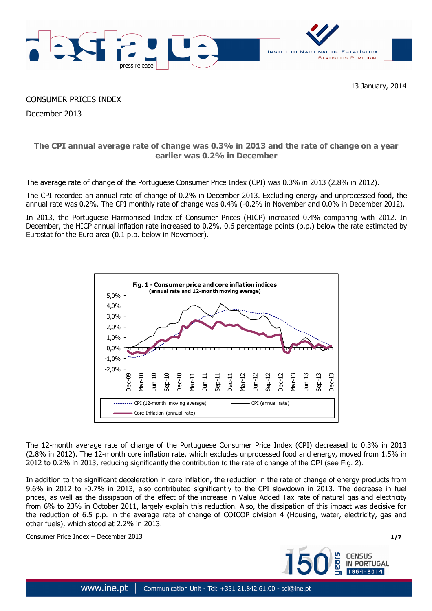

CONSUMER PRICES INDEX

December 2013

# **The CPI annual average rate of change was 0.3% in 2013 and the rate of change on a year earlier was 0.2% in December**

The average rate of change of the Portuguese Consumer Price Index (CPI) was 0.3% in 2013 (2.8% in 2012).

The CPI recorded an annual rate of change of 0.2% in December 2013. Excluding energy and unprocessed food, the annual rate was 0.2%. The CPI monthly rate of change was 0.4% (-0.2% in November and 0.0% in December 2012).

In 2013, the Portuguese Harmonised Index of Consumer Prices (HICP) increased 0.4% comparing with 2012. In December, the HICP annual inflation rate increased to 0.2%, 0.6 percentage points (p.p.) below the rate estimated by Eurostat for the Euro area (0.1 p.p. below in November).



The 12-month average rate of change of the Portuguese Consumer Price Index (CPI) decreased to 0.3% in 2013 (2.8% in 2012). The 12-month core inflation rate, which excludes unprocessed food and energy, moved from 1.5% in 2012 to 0.2% in 2013, reducing significantly the contribution to the rate of change of the CPI (see Fig. 2).

In addition to the significant deceleration in core inflation, the reduction in the rate of change of energy products from 9.6% in 2012 to -0.7% in 2013, also contributed significantly to the CPI slowdown in 2013. The decrease in fuel prices, as well as the dissipation of the effect of the increase in Value Added Tax rate of natural gas and electricity from 6% to 23% in October 2011, largely explain this reduction. Also, the dissipation of this impact was decisive for the reduction of 6.5 p.p. in the average rate of change of COICOP division 4 (Housing, water, electricity, gas and other fuels), which stood at 2.2% in 2013.

Consumer Price Index – December 2013 **1/7**

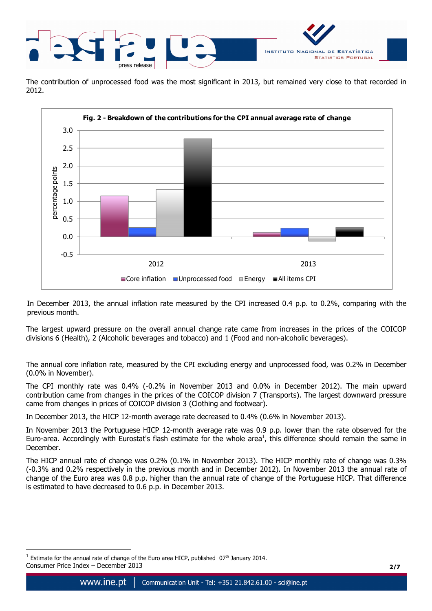

The contribution of unprocessed food was the most significant in 2013, but remained very close to that recorded in 2012.



In December 2013, the annual inflation rate measured by the CPI increased 0.4 p.p. to 0.2%, comparing with the previous month.

The largest upward pressure on the overall annual change rate came from increases in the prices of the COICOP divisions 6 (Health), 2 (Alcoholic beverages and tobacco) and 1 (Food and non-alcoholic beverages).

The annual core inflation rate, measured by the CPI excluding energy and unprocessed food, was 0.2% in December (0.0% in November).

The CPI monthly rate was 0.4% (-0.2% in November 2013 and 0.0% in December 2012). The main upward contribution came from changes in the prices of the COICOP division 7 (Transports). The largest downward pressure came from changes in prices of COICOP division 3 (Clothing and footwear).

In December 2013, the HICP 12-month average rate decreased to 0.4% (0.6% in November 2013).

In November 2013 the Portuguese HICP 12-month average rate was 0.9 p.p. lower than the rate observed for the Euro-area. Accordingly with Eurostat's flash estimate for the whole area<sup>1</sup>, this difference should remain the same in December.

The HICP annual rate of change was 0.2% (0.1% in November 2013). The HICP monthly rate of change was 0.3% (-0.3% and 0.2% respectively in the previous month and in December 2012). In November 2013 the annual rate of change of the Euro area was 0.8 p.p. higher than the annual rate of change of the Portuguese HICP. That difference is estimated to have decreased to 0.6 p.p. in December 2013.

 $\overline{a}$ 

Consumer Price Index – December 2013 **2/7**  $^1$  Estimate for the annual rate of change of the Euro area HICP, published  $07<sup>th</sup>$  January 2014.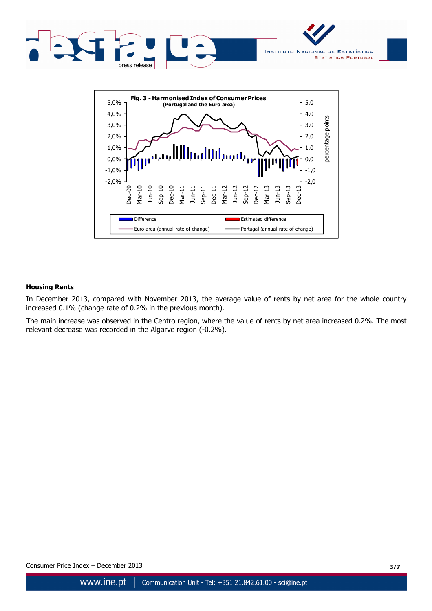



### **Housing Rents**

In December 2013, compared with November 2013, the average value of rents by net area for the whole country increased 0.1% (change rate of 0.2% in the previous month).

The main increase was observed in the Centro region, where the value of rents by net area increased 0.2%. The most relevant decrease was recorded in the Algarve region (-0.2%).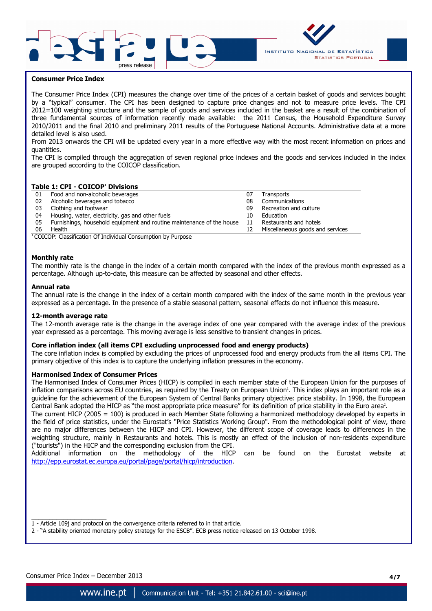



### **Consumer Price Index**

The Consumer Price Index (CPI) measures the change over time of the prices of a certain basket of goods and services bought by a "typical" consumer. The CPI has been designed to capture price changes and not to measure price levels. The CPI 2012=100 weighting structure and the sample of goods and services included in the basket are a result of the combination of three fundamental sources of information recently made available: the 2011 Census, the Household Expenditure Survey 2010/2011 and the final 2010 and preliminary 2011 results of the Portuguese National Accounts. Administrative data at a more detailed level is also used.

From 2013 onwards the CPI will be updated every year in a more effective way with the most recent information on prices and quantities.

The CPI is compiled through the aggregation of seven regional price indexes and the goods and services included in the index are grouped according to the COICOP classification.

#### **Table 1: CPI - COICOP<sup>1</sup> Divisions**

| 01 | Food and non-alcoholic beverages                                      | 07 | Transports                       |
|----|-----------------------------------------------------------------------|----|----------------------------------|
| 02 | Alcoholic beverages and tobacco                                       | 08 | Communications                   |
| 03 | Clothing and footwear                                                 | 09 | Recreation and culture           |
| 04 | Housing, water, electricity, gas and other fuels                      | 10 | Education                        |
| 05 | Furnishings, household equipment and routine maintenance of the house | 11 | Restaurants and hotels           |
| 06 | Health                                                                | 12 | Miscellaneous goods and services |

 $1$ COICOP: Classification Of Individual Consumption by Purpose

#### **Monthly rate**

The monthly rate is the change in the index of a certain month compared with the index of the previous month expressed as a percentage. Although up-to-date, this measure can be affected by seasonal and other effects.

#### **Annual rate**

The annual rate is the change in the index of a certain month compared with the index of the same month in the previous year expressed as a percentage. In the presence of a stable seasonal pattern, seasonal effects do not influence this measure.

#### **12-month average rate**

The 12-month average rate is the change in the average index of one year compared with the average index of the previous year expressed as a percentage. This moving average is less sensitive to transient changes in prices.

#### **Core inflation index (all items CPI excluding unprocessed food and energy products)**

The core inflation index is compiled by excluding the prices of unprocessed food and energy products from the all items CPI. The primary objective of this index is to capture the underlying inflation pressures in the economy.

#### **Harmonised Index of Consumer Prices**

The Harmonised Index of Consumer Prices (HICP) is compiled in each member state of the European Union for the purposes of inflation comparisons across EU countries, as required by the Treaty on European Union'. This index plays an important role as a guideline for the achievement of the European System of Central Banks primary objective: price stability. In 1998, the European Central Bank adopted the HICP as "the most appropriate price measure" for its definition of price stability in the Euro area<sup>2</sup>.

The current HICP (2005 = 100) is produced in each Member State following a harmonized methodology developed by experts in the field of price statistics, under the Eurostat's "Price Statistics Working Group". From the methodological point of view, there are no major differences between the HICP and CPI. However, the different scope of coverage leads to differences in the weighting structure, mainly in Restaurants and hotels. This is mostly an effect of the inclusion of non-residents expenditure ("tourists") in the HICP and the corresponding exclusion from the CPI.

Additional information on the methodology of the HICP can be found on the Eurostat website at http://epp.eurostat.ec.europa.eu/portal/page/portal/hicp/introduction.

 $\frac{1}{2}$  ,  $\frac{1}{2}$  ,  $\frac{1}{2}$  ,  $\frac{1}{2}$  ,  $\frac{1}{2}$  ,  $\frac{1}{2}$  ,  $\frac{1}{2}$  ,  $\frac{1}{2}$  ,  $\frac{1}{2}$  ,  $\frac{1}{2}$  ,  $\frac{1}{2}$  ,  $\frac{1}{2}$  ,  $\frac{1}{2}$  ,  $\frac{1}{2}$  ,  $\frac{1}{2}$  ,  $\frac{1}{2}$  ,  $\frac{1}{2}$  ,  $\frac{1}{2}$  ,  $\frac{1$ 

<sup>1 -</sup> Article 109j and protocol on the convergence criteria referred to in that article.

<sup>2 - &</sup>quot;A stability oriented monetary policy strategy for the ESCB". ECB press notice released on 13 October 1998.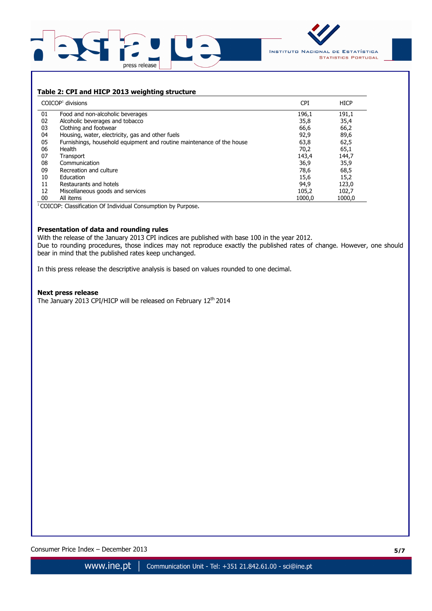



### **Table 2: CPI and HICP 2013 weighting structure**

|    | $COICOP1$ divisions                                                   | <b>CPI</b> | <b>HICP</b> |
|----|-----------------------------------------------------------------------|------------|-------------|
| 01 | Food and non-alcoholic beverages                                      | 196,1      | 191,1       |
| 02 | Alcoholic beverages and tobacco                                       | 35,8       | 35,4        |
| 03 | Clothing and footwear                                                 | 66,6       | 66,2        |
| 04 | Housing, water, electricity, gas and other fuels                      | 92,9       | 89,6        |
| 05 | Furnishings, household equipment and routine maintenance of the house | 63,8       | 62,5        |
| 06 | Health                                                                | 70,2       | 65,1        |
| 07 | Transport                                                             | 143,4      | 144,7       |
| 08 | Communication                                                         | 36,9       | 35,9        |
| 09 | Recreation and culture                                                | 78,6       | 68,5        |
| 10 | Education                                                             | 15,6       | 15,2        |
| 11 | Restaurants and hotels                                                | 94,9       | 123,0       |
| 12 | Miscellaneous goods and services                                      | 105,2      | 102,7       |
| 00 | All items                                                             | 1000.0     | 1000.0      |

<sup>1</sup>COICOP: Classification Of Individual Consumption by Purpose.

### **Presentation of data and rounding rules**

With the release of the January 2013 CPI indices are published with base 100 in the year 2012. Due to rounding procedures, those indices may not reproduce exactly the published rates of change. However, one should bear in mind that the published rates keep unchanged.

In this press release the descriptive analysis is based on values rounded to one decimal.

#### **Next press release**

The January 2013 CPI/HICP will be released on February 12<sup>th</sup> 2014

Consumer Price Index – December 2013 **5/7**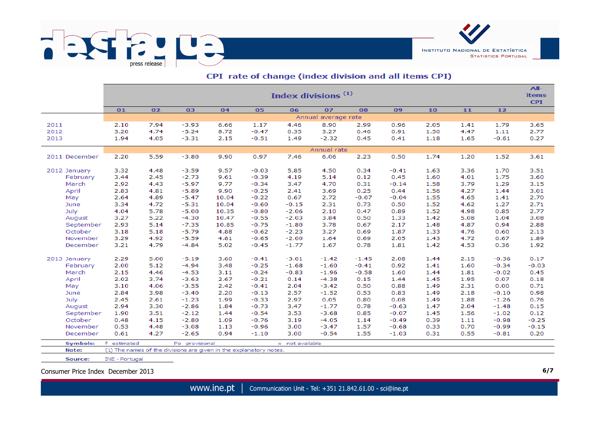

|                 | Index divisions <sup>(1)</sup><br><b>items</b>                       |      |                                                                    |       |         |                 |             |         |         |      |      |         |         |  |  |
|-----------------|----------------------------------------------------------------------|------|--------------------------------------------------------------------|-------|---------|-----------------|-------------|---------|---------|------|------|---------|---------|--|--|
|                 | 03<br>04<br>05<br>06<br>07<br>10<br>11<br>12<br>01<br>02<br>08<br>09 |      |                                                                    |       |         |                 |             |         |         |      |      |         |         |  |  |
|                 | Annual average rate                                                  |      |                                                                    |       |         |                 |             |         |         |      |      |         |         |  |  |
| 2011            | 2.10                                                                 | 7.94 | $-3.93$                                                            | 6.66  | 1.17    | 4.46            | 8.90        | 2.99    | 0.96    | 2.05 | 1.41 | 1.79    | 3.65    |  |  |
| 2012            | 3.20                                                                 | 4.74 | $-5.24$                                                            | 8.72  | $-0.47$ | 0.35            | 3.27        | 0.46    | 0.91    | 1.50 | 4.47 | 1.11    | 2.77    |  |  |
| 2013            | 1.94                                                                 | 4.05 | $-3.31$                                                            | 2.15  | $-0.51$ | 1.49            | $-2.32$     | 0.45    | 0.41    | 1.18 | 1.65 | $-0.61$ | 0.27    |  |  |
|                 |                                                                      |      |                                                                    |       |         |                 | Annual rate |         |         |      |      |         |         |  |  |
| 2011 December   | 2.20                                                                 | 5.59 | $-3.80$                                                            | 9.90  | 0.97    | 7.46            | 6.06        | 2.23    | 0.50    | 1.74 | 1.20 | 1.52    | 3.61    |  |  |
| 2012 January    | 3.32                                                                 | 4.48 | $-3.59$                                                            | 9.57  | $-0.03$ | 5.85            | 4.50        | 0.34    | $-0.41$ | 1.63 | 3.36 | 1.70    | 3.51    |  |  |
| February        | 3.44                                                                 | 2.45 | $-2.73$                                                            | 9.61  | $-0.39$ | 4.19            | 5.14        | 0.12    | 0.45    | 1.60 | 4.01 | 1.75    | 3.60    |  |  |
| March           | 2.92                                                                 | 4.43 | $-5.97$                                                            | 9.77  | $-0.34$ | 3.47            | 4.70        | 0.31    | $-0.14$ | 1.58 | 3.79 | 1.29    | 3.15    |  |  |
| April           | 2.83                                                                 | 4.81 | $-5.89$                                                            | 9.90  | $-0.25$ | 2.41            | 3.69        | 0.25    | 0.44    | 1.56 | 4.27 | 1.44    | 3.01    |  |  |
| May             | 2.64                                                                 | 4.89 | $-5.47$                                                            | 10.04 | $-0.22$ | 0.67            | 2.72        | $-0.07$ | $-0.04$ | 1.55 | 4.65 | 1.41    | 2.70    |  |  |
| June            | 3.34                                                                 | 4.72 | $-5.31$                                                            | 10.04 | $-0.60$ | $-0.15$         | 2.31        | 0.73    | 0.50    | 1.52 | 4.62 | 1.27    | 2.71    |  |  |
| July            | 4.04                                                                 | 5.78 | $-5.00$                                                            | 10.35 | $-0.80$ | $-2.06$         | 2.10        | 0.47    | 0.89    | 1.52 | 4.98 | 0.85    | 2.77    |  |  |
| August          | 3.27                                                                 | 5.22 | $-4.30$                                                            | 10.47 | $-0.55$ | $-2.03$         | 3.84        | 0.50    | 1.33    | 1.42 | 5.08 | 1.04    | 3.08    |  |  |
| September       | 2.93                                                                 | 5.14 | $-7.35$                                                            | 10.85 | $-0.75$ | $-1.80$         | 3.78        | 0.67    | 2.17    | 1.48 | 4.87 | 0.94    | 2.88    |  |  |
| October         | 3.18                                                                 | 5.18 | $-5.79$                                                            | 4.88  | $-0.62$ | $-2.23$         | 3.27        | 0.69    | 1.87    | 1.33 | 4.76 | 0.60    | 2.13    |  |  |
| November        | 3.29                                                                 | 4.92 | $-5.59$                                                            | 4.81  | $-0.65$ | $-2.00$         | 1.64        | 0.69    | 2.05    | 1.43 | 4.72 | 0.67    | 1.89    |  |  |
| December        | 3.21                                                                 | 4.79 | $-4.84$                                                            | 5.02  | $-0.45$ | $-1.77$         | 1.67        | 0.78    | 1.81    | 1.42 | 4.53 | 0.36    | 1.92    |  |  |
| 2013 January    | 2.29                                                                 | 5.00 | $-5.19$                                                            | 3.60  | $-0.41$ | $-3.01$         | $-1.42$     | $-1.45$ | 2.08    | 1.44 | 2.15 | $-0.36$ | 0.17    |  |  |
| February        | 2.00                                                                 | 5.12 | $-4.94$                                                            | 3.48  | $-0.25$ | $-1.68$         | $-1.60$     | $-0.41$ | 0.92    | 1.41 | 1.60 | $-0.34$ | $-0.03$ |  |  |
| March           | 2.15                                                                 | 4.46 | $-4.53$                                                            | 3.11  | $-0.24$ | $-0.83$         | $-1.96$     | $-0.58$ | 1.60    | 1.44 | 1.81 | $-0.02$ | 0.45    |  |  |
| April           | 2.02                                                                 | 3.74 | $-3.63$                                                            | 2.67  | $-0.21$ | 0.14            | $-4.38$     | 0.15    | 1.44    | 1.45 | 1.95 | 0.07    | 0.18    |  |  |
| May             | 3.10                                                                 | 4.06 | $-3.55$                                                            | 2.42  | $-0.41$ | 2.04            | $-3.42$     | 0.50    | 0.88    | 1.49 | 2.31 | 0.00    | 0.71    |  |  |
| June            | 2.84                                                                 | 3.98 | $-3.40$                                                            | 2.20  | $-0.13$ | 2.57            | $-1.52$     | 0.53    | 0.83    | 1.49 | 2.18 | $-0.10$ | 0.98    |  |  |
| July            | 2.45                                                                 | 2.61 | $-1.23$                                                            | 1.99  | $-0.33$ | 2.97            | 0.05        | 0.80    | 0.08    | 1.49 | 1.88 | $-1.26$ | 0.76    |  |  |
| August          | 2.94                                                                 | 3.30 | $-2.86$                                                            | 1.84  | $-0.73$ | 3.47            | $-1.77$     | 0.78    | $-0.63$ | 1.47 | 2.04 | $-1.48$ | 0.15    |  |  |
| September       | 1.90                                                                 | 3.51 | $-2.12$                                                            | 1.44  | $-0.54$ | 3.53            | $-3.68$     | 0.85    | $-0.07$ | 1.45 | 1.56 | $-1.02$ | 0.12    |  |  |
| October         | 0.48                                                                 | 4.15 | $-2.80$                                                            | 1.09  | $-0.76$ | 3.19            | $-4.05$     | 1.14    | $-0.49$ | 0.39 | 1.11 | $-0.98$ | $-0.25$ |  |  |
| November        | 0.53                                                                 | 4.48 | $-3.08$                                                            | 1.13  | $-0.96$ | 3.00            | $-3.47$     | 1.57    | $-0.68$ | 0.33 | 0.70 | $-0.99$ | $-0.15$ |  |  |
| December        | 0.61                                                                 | 4.27 | $-2.65$                                                            | 0.94  | $-1.10$ | 3.00            | $-0.54$     | 1.55    | $-1.03$ | 0.31 | 0.55 | $-0.81$ | 0.20    |  |  |
| <b>Symbols:</b> | f.<br>estimated                                                      |      | Po provisional                                                     |       |         | x not available |             |         |         |      |      |         |         |  |  |
| Note:           |                                                                      |      | (1) The names of the divisions are given in the explanatory notes. |       |         |                 |             |         |         |      |      |         |         |  |  |
| Source:         | <b>INE - Portugal</b>                                                |      |                                                                    |       |         |                 |             |         |         |      |      |         |         |  |  |

## CPI rate of change (index division and all items CPI)

Consumer Price Index December 2013 **6/7**

**INSTITUTO NACIONAL DE ESTATÍSTICA** 

**STATISTICS PORTUGAL**